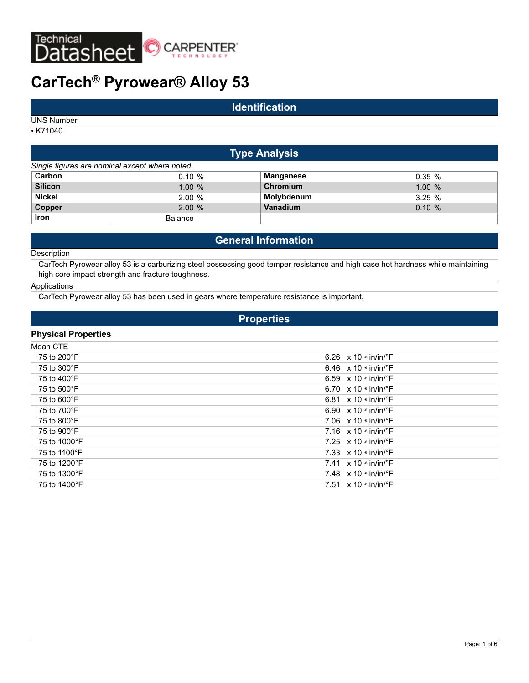

# **CarTech® Pyrowear® Alloy 53**

# **Identification**

UNS Number

• K71040

| <b>Type Analysis</b>                           |                |            |           |  |  |  |
|------------------------------------------------|----------------|------------|-----------|--|--|--|
| Single figures are nominal except where noted. |                |            |           |  |  |  |
| Carbon                                         | $0.10 \%$      | Manganese  | $0.35 \%$ |  |  |  |
| <b>Silicon</b>                                 | 1.00%          | Chromium   | 1.00%     |  |  |  |
| <b>Nickel</b>                                  | 2.00%          | Molybdenum | 3.25%     |  |  |  |
| Copper                                         | 2.00%          | Vanadium   | $0.10 \%$ |  |  |  |
| <b>Iron</b>                                    | <b>Balance</b> |            |           |  |  |  |

# **General Information**

#### **Description**

CarTech Pyrowear alloy 53 is a carburizing steel possessing good temper resistance and high case hot hardness while maintaining high core impact strength and fracture toughness.

### Applications

CarTech Pyrowear alloy 53 has been used in gears where temperature resistance is important.

# **Properties**

# **Physical Properties**

| Mean CTE     |                                                       |
|--------------|-------------------------------------------------------|
| 75 to 200°F  | 6.26 $\times$ 10 $\cdot$ in/in/ $\cdot$ F             |
| 75 to 300°F  | 6.46 $\times$ 10 $\cdot$ in/in/ $\cdot$ F             |
| 75 to 400°F  | 6.59 $\times$ 10 $\cdot$ in/in/ $\cdot$ F             |
| 75 to 500°F  | 6.70 $\times$ 10 $\cdot$ in/in/ $\cdot$ F             |
| 75 to 600°F  | 6.81 $\times$ 10 $\cdot$ in/in/ $\cdot$ F             |
| 75 to 700°F  | 6.90 $\times$ 10 $\cdot$ in/in/ $\cdot$ F             |
| 75 to 800°F  | 7.06 $\times$ 10 $\cdot$ in/in/ $\cdot$ F             |
| 75 to 900°F  | 7.16 $\times$ 10 $\frac{1}{2}$ in/in/ $\frac{1}{2}$ F |
| 75 to 1000°F | 7.25 $\times$ 10 $\cdot$ in/in/ $\cdot$ F             |
| 75 to 1100°F | 7.33 $\times$ 10 $\cdot$ in/in/ $\cdot$ F             |
| 75 to 1200°F | 7.41 $\times$ 10 $\cdot$ in/in/ $\cdot$ F             |
| 75 to 1300°F | 7.48 $\times$ 10 $\cdot$ in/in/ $\cdot$ F             |
| 75 to 1400°F | 7.51 $\times$ 10 $\cdot$ in/in/ $\cdot$ F             |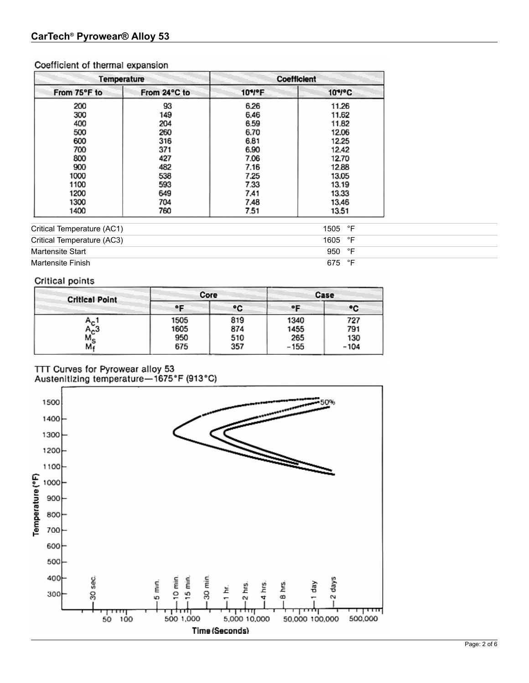# Coefficient of thermal expansion

|              | Temperature            | <b>Coefficient</b> |        |  |
|--------------|------------------------|--------------------|--------|--|
| From 75°F to | 10*/°F<br>From 24°C to |                    | 10*/*C |  |
| 200          | 93                     | 6.26               | 11.26  |  |
| 300          | 149                    | 6.46               | 11.62  |  |
| 400          | 204                    | 6.59               | 11.82  |  |
| 500          | 260                    | 6.70               | 12.06  |  |
| 600          | 316                    | 6.81               | 12.25  |  |
| 700          | 371                    | 6.90               | 12.42  |  |
| 800          | 427                    | 7.06               | 12.70  |  |
| 900          | 482                    | 7.16               | 12.88  |  |
| 1000         | 538                    | 7.25               | 13.05  |  |
| 1100         | 593                    | 7.33               | 13.19  |  |
| 1200         | 649                    | 7.41               | 13.33  |  |
| 1300         | 704                    | 7.48               | 13.46  |  |
| 1400         | 760                    | 7.51               | 13.51  |  |

| Critical Temperature (AC1) | 1505 °F          |
|----------------------------|------------------|
| Critical Temperature (AC3) | 1605 $\degree$ F |
| Martensite Start           | 950 °F           |
| Martensite Finish          | ∘⊏<br>675        |

# Critical points

| <b>Critical Point</b>    | Core                |                   | Case                |                   |  |
|--------------------------|---------------------|-------------------|---------------------|-------------------|--|
|                          | ۰F                  | ۰c                | ۰F                  | ۰c                |  |
| $A_{\rm C}$<br>$A_{c}$ 3 | 1505<br>1605<br>950 | 819<br>874<br>510 | 1340<br>1455<br>265 | 727<br>791<br>130 |  |
| Ms<br>Mr                 | 675                 | 357               | $-155$              | $-104$            |  |

TTT Curves for Pyrowear alloy 53<br>Austenitizing temperature-1675°F (913°C)

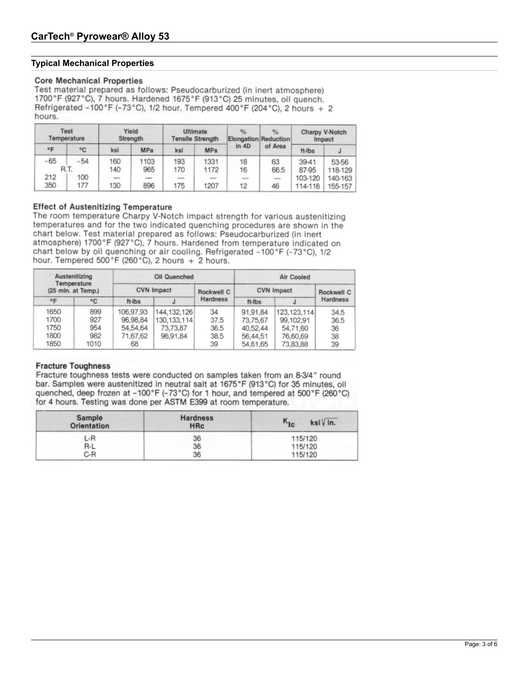# **Typical Mechanical Properties**

### **Core Mechanical Properties**

Test material prepared as follows: Pseudocarburized (in inert atmosphere) 1700°F (927°C), 7 hours. Hardened 1675°F (913°C) 25 minutes, oil quench. Refrigerated -100°F (-73°C), 1/2 hour. Tempered 400°F (204°C), 2 hours + 2 hours.

|              | Test<br>Temperature |     | Yield<br>Strength |     | Ultimate<br><b>Tensile Strength</b> | $\frac{9}{6}$<br>Elongation Reduction | $\frac{9}{6}$ |         | Charpy V-Notch<br>Impact |
|--------------|---------------------|-----|-------------------|-----|-------------------------------------|---------------------------------------|---------------|---------|--------------------------|
| $^{\circ}$ F | °C                  | ksi | MPa               | ksi | MPa                                 | in 4D                                 | of Area       | ft-Ibs  |                          |
| -65          | $-54$               | 160 | 1103              | 193 | 1331                                | 18                                    | 63            | 39-41   | 53-56                    |
|              | R.T.                | 140 | 965               | 170 | 1172                                | 16                                    | 66.5          | 87-95   | 118-129                  |
| 212          | 100                 |     |                   |     |                                     |                                       | -             | 103-120 | 140-163                  |
| 350          | 177                 | 130 | 896               | 175 | 1207                                | 12                                    | 46            | 114-116 | 155-157                  |

### **Effect of Austenitizing Temperature**

The room temperature Charpy V-Notch impact strength for various austenitizing temperatures and for the two indicated quenching procedures are shown in the chart below. Test material prepared as follows: Pseudocarburized (in inert atmosphere) 1700°F (927°C), 7 hours. Hardened from temperature indicated on chart below by oil quenching or air cooling. Refrigerated -100°F (-73°C), 1/2 hour. Tempered 500°F (260°C), 2 hours + 2 hours.

| Austenitizing<br>Temperature<br>(25 min. at Temp.) |      |                   | Oil Quenched  |            | Air Cooled        |               |            |  |
|----------------------------------------------------|------|-------------------|---------------|------------|-------------------|---------------|------------|--|
|                                                    |      | <b>CVN Impact</b> |               | Rockwell C | <b>CVN Impact</b> |               | Rockwell C |  |
| $^{\circ}$ F                                       | °C   | ft-Ibs            |               | Hardness   | ft-Ibs            |               | Hardness   |  |
| 1650                                               | 899  | 106,97,93         | 144, 132, 126 | 34         | 91,91,84          | 123, 123, 114 | 34.5       |  |
| 1700                                               | 927  | 96,98,84          | 130.133.114   | 37.5       | 73,75,67          | 99,102,91     | 36.5       |  |
| 1750                                               | 954  | 54,54,64          | 73,73,87      | 36.5       | 40,52,44          | 54,71,60      | 36         |  |
| 1800                                               | 982  | 71,67,62          | 96,91,84      | 38.5       | 56,44,51          | 76,60,69      | 38         |  |
| 1850                                               | 1010 | 68                |               | 39         | 54.61,65          | 73,83,88      | 39         |  |

### **Fracture Toughness**

Fracture toughness tests were conducted on samples taken from an 8-3/4" round bar. Samples were austenitized in neutral salt at 1675°F (913°C) for 35 minutes, oil quenched, deep frozen at -100°F (-73°C) for 1 hour, and tempered at 500°F (260°C) for 4 hours. Testing was done per ASTM E399 at room temperature.

| Sample<br>Orientation | <b>Hardness</b><br><b>HRc</b> | $K_{Ic}$<br>ksi V in. |  |  |
|-----------------------|-------------------------------|-----------------------|--|--|
| L-R                   | 36                            | 115/120               |  |  |
| R-L                   | 36                            | 115/120               |  |  |
| C-R                   | 36                            | 115/120               |  |  |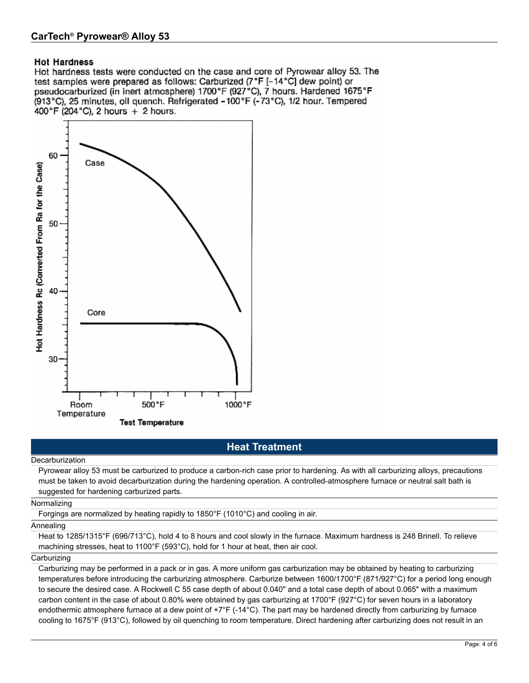# **Hot Hardness**

Hot hardness tests were conducted on the case and core of Pyrowear alloy 53. The test samples were prepared as follows: Carburized (7°F [-14°C] dew point) or pseudocarburized (in inert atmosphere) 1700°F (927°C), 7 hours. Hardened 1675°F (913°C), 25 minutes, oil quench. Refrigerated -100°F (-73°C), 1/2 hour. Tempered 400°F (204°C), 2 hours + 2 hours.



# **Heat Treatment**

Decarburization

Pyrowear alloy 53 must be carburized to produce a carbon-rich case prior to hardening. As with all carburizing alloys, precautions must be taken to avoid decarburization during the hardening operation. A controlled-atmosphere furnace or neutral salt bath is suggested for hardening carburized parts.

Normalizing

Forgings are normalized by heating rapidly to 1850°F (1010°C) and cooling in air.

#### Annealing

Heat to 1285/1315°F (696/713°C), hold 4 to 8 hours and cool slowly in the furnace. Maximum hardness is 248 Brinell. To relieve machining stresses, heat to 1100°F (593°C), hold for 1 hour at heat, then air cool.

#### **Carburizing**

Carburizing may be performed in a pack or in gas. A more uniform gas carburization may be obtained by heating to carburizing temperatures before introducing the carburizing atmosphere. Carburize between 1600/1700°F (871/927°C) for a period long enough to secure the desired case. A Rockwell C 55 case depth of about 0.040" and a total case depth of about 0.065" with a maximum carbon content in the case of about 0.80% were obtained by gas carburizing at 1700°F (927°C) for seven hours in a laboratory endothermic atmosphere furnace at a dew point of  $+7^{\circ}F$  (-14 $^{\circ}C$ ). The part may be hardened directly from carburizing by furnace cooling to 1675°F (913°C), followed by oil quenching to room temperature. Direct hardening after carburizing does not result in an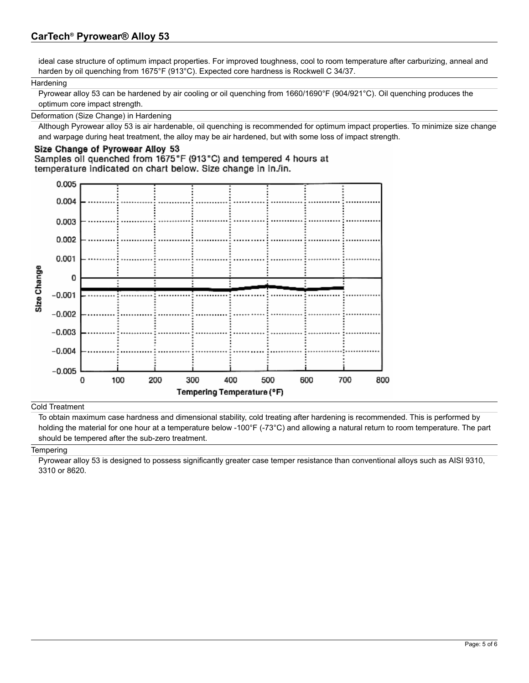# **CarTech® Pyrowear® Alloy 53**

ideal case structure of optimum impact properties. For improved toughness, cool to room temperature after carburizing, anneal and harden by oil quenching from 1675°F (913°C). Expected core hardness is Rockwell C 34/37.

### **Hardening**

Pyrowear alloy 53 can be hardened by air cooling or oil quenching from 1660/1690°F (904/921°C). Oil quenching produces the optimum core impact strength.

### Deformation (Size Change) in Hardening

Although Pyrowear alloy 53 is air hardenable, oil quenching is recommended for optimum impact properties. To minimize size change and warpage during heat treatment, the alloy may be air hardened, but with some loss of impact strength.

# Size Change of Pyrowear Alloy 53

Samples oil quenched from 1675°F (913°C) and tempered 4 hours at temperature indicated on chart below. Size change in in /in.



### Cold Treatment

To obtain maximum case hardness and dimensional stability, cold treating after hardening is recommended. This is performed by holding the material for one hour at a temperature below -100°F (-73°C) and allowing a natural return to room temperature. The part should be tempered after the sub-zero treatment.

### **Tempering**

Pyrowear alloy 53 is designed to possess significantly greater case temper resistance than conventional alloys such as AISI 9310, 3310 or 8620.